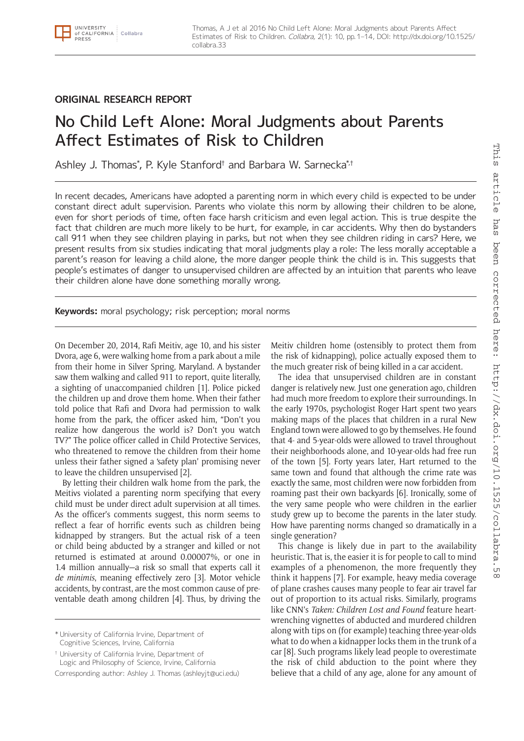## **ORIGINAL RESEARCH REPORT**

# No Child Left Alone: Moral Judgments about Parents Affect Estimates of Risk to Children

Ashley J. Thomas\*, P. Kyle Stanford† and Barbara W. Sarnecka\*<sup>;</sup>†

In recent decades, Americans have adopted a parenting norm in which every child is expected to be under constant direct adult supervision. Parents who violate this norm by allowing their children to be alone, even for short periods of time, often face harsh criticism and even legal action. This is true despite the fact that children are much more likely to be hurt, for example, in car accidents. Why then do bystanders call 911 when they see children playing in parks, but not when they see children riding in cars? Here, we present results from six studies indicating that moral judgments play a role: The less morally acceptable a parent's reason for leaving a child alone, the more danger people think the child is in. This suggests that people's estimates of danger to unsupervised children are affected by an intuition that parents who leave their children alone have done something morally wrong.

**Keywords:** moral psychology; risk perception; moral norms

On December 20, 2014, Rafi Meitiv, age 10, and his sister Dvora, age 6, were walking home from a park about a mile from their home in Silver Spring, Maryland. A bystander saw them walking and called 911 to report, quite literally, a sighting of unaccompanied children [1]. Police picked the children up and drove them home. When their father told police that Rafi and Dvora had permission to walk home from the park, the officer asked him, "Don't you realize how dangerous the world is? Don't you watch TV?" The police officer called in Child Protective Services, who threatened to remove the children from their home unless their father signed a 'safety plan' promising never to leave the children unsupervised [2].

By letting their children walk home from the park, the Meitivs violated a parenting norm specifying that every child must be under direct adult supervision at all times. As the officer's comments suggest, this norm seems to reflect a fear of horrific events such as children being kidnapped by strangers. But the actual risk of a teen or child being abducted by a stranger and killed or not returned is estimated at around 0.00007%, or one in 1.4 million annually—a risk so small that experts call it *de minimis*, meaning effectively zero [3]. Motor vehicle accidents, by contrast, are the most common cause of preventable death among children [4]. Thus, by driving the

\* University of California Irvine, Department of Cognitive Sciences, Irvine, California

† University of California Irvine, Department of Logic and Philosophy of Science, Irvine, California

Corresponding author: Ashley J. Thomas ([ashleyjt@uci.edu](mailto:ashleyjt@uci.edu))

Meitiv children home (ostensibly to protect them from the risk of kidnapping), police actually exposed them to the much greater risk of being killed in a car accident.

The idea that unsupervised children are in constant danger is relatively new. Just one generation ago, children had much more freedom to explore their surroundings. In the early 1970s, psychologist Roger Hart spent two years making maps of the places that children in a rural New England town were allowed to go by themselves. He found that 4- and 5-year-olds were allowed to travel throughout their neighborhoods alone, and 10-year-olds had free run of the town [5]. Forty years later, Hart returned to the same town and found that although the crime rate was exactly the same, most children were now forbidden from roaming past their own backyards [6]. Ironically, some of the very same people who were children in the earlier study grew up to become the parents in the later study. How have parenting norms changed so dramatically in a single generation?

This change is likely due in part to the availability heuristic. That is, the easier it is for people to call to mind examples of a phenomenon, the more frequently they think it happens [7]. For example, heavy media coverage of plane crashes causes many people to fear air travel far out of proportion to its actual risks. Similarly, programs like CNN's *Taken: Children Lost and Found* feature heartwrenching vignettes of abducted and murdered children along with tips on (for example) teaching three-year-olds what to do when a kidnapper locks them in the trunk of a car [8]. Such programs likely lead people to overestimate the risk of child abduction to the point where they believe that a child of any age, alone for any amount of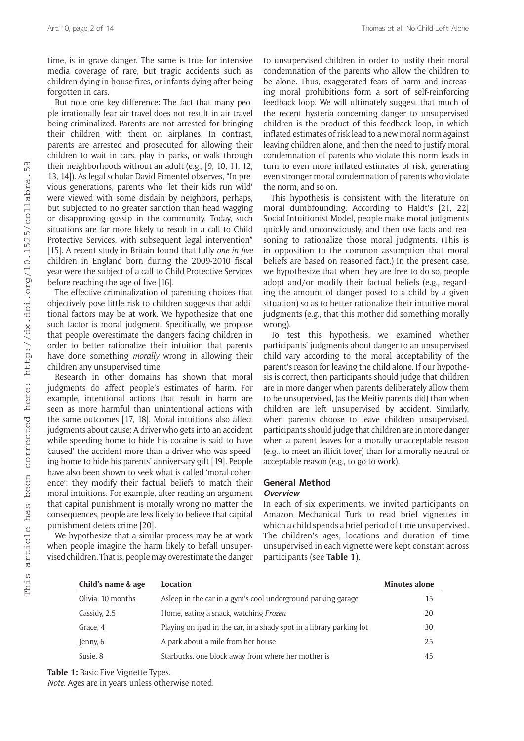time, is in grave danger. The same is true for intensive media coverage of rare, but tragic accidents such as children dying in house fires, or infants dying after being forgotten in cars.

But note one key difference: The fact that many people irrationally fear air travel does not result in air travel being criminalized. Parents are not arrested for bringing their children with them on airplanes. In contrast, parents are arrested and prosecuted for allowing their children to wait in cars, play in parks, or walk through their neighborhoods without an adult (e.g., [9, 10, 11, 12, 13, 14]). As legal scholar David Pimentel observes, "In previous generations, parents who 'let their kids run wild' were viewed with some disdain by neighbors, perhaps, but subjected to no greater sanction than head wagging or disapproving gossip in the community. Today, such situations are far more likely to result in a call to Child Protective Services, with subsequent legal intervention" [15]. A recent study in Britain found that fully *one in five*  children in England born during the 2009-2010 fiscal year were the subject of a call to Child Protective Services before reaching the age of five [16].

The effective criminalization of parenting choices that objectively pose little risk to children suggests that additional factors may be at work. We hypothesize that one such factor is moral judgment. Specifically, we propose that people overestimate the dangers facing children in order to better rationalize their intuition that parents have done something *morally* wrong in allowing their children any unsupervised time.

Research in other domains has shown that moral judgments do affect people's estimates of harm. For example, intentional actions that result in harm are seen as more harmful than unintentional actions with the same outcomes [17, 18]. Moral intuitions also affect judgments about cause: A driver who gets into an accident while speeding home to hide his cocaine is said to have 'caused' the accident more than a driver who was speeding home to hide his parents' anniversary gift [19]. People have also been shown to seek what is called 'moral coherence': they modify their factual beliefs to match their moral intuitions. For example, after reading an argument that capital punishment is morally wrong no matter the consequences, people are less likely to believe that capital punishment deters crime [20].

We hypothesize that a similar process may be at work when people imagine the harm likely to befall unsupervised children. That is, people may overestimate the danger to unsupervised children in order to justify their moral condemnation of the parents who allow the children to be alone. Thus, exaggerated fears of harm and increasing moral prohibitions form a sort of self-reinforcing feedback loop. We will ultimately suggest that much of the recent hysteria concerning danger to unsupervised children is the product of this feedback loop, in which inflated estimates of risk lead to a new moral norm against leaving children alone, and then the need to justify moral condemnation of parents who violate this norm leads in turn to even more inflated estimates of risk, generating even stronger moral condemnation of parents who violate the norm, and so on.

This hypothesis is consistent with the literature on moral dumbfounding. According to Haidt's [21, 22] Social Intuitionist Model, people make moral judgments quickly and unconsciously, and then use facts and reasoning to rationalize those moral judgments. (This is in opposition to the common assumption that moral beliefs are based on reasoned fact.) In the present case, we hypothesize that when they are free to do so, people adopt and/or modify their factual beliefs (e.g., regarding the amount of danger posed to a child by a given situation) so as to better rationalize their intuitive moral judgments (e.g., that this mother did something morally wrong).

To test this hypothesis, we examined whether participants' judgments about danger to an unsupervised child vary according to the moral acceptability of the parent's reason for leaving the child alone. If our hypothesis is correct, then participants should judge that children are in more danger when parents deliberately allow them to be unsupervised, (as the Meitiv parents did) than when children are left unsupervised by accident. Similarly, when parents choose to leave children unsupervised. participants should judge that children are in more danger when a parent leaves for a morally unacceptable reason (e.g., to meet an illicit lover) than for a morally neutral or acceptable reason (e.g., to go to work).

## **General Method**

#### **Overview**

In each of six experiments, we invited participants on Amazon Mechanical Turk to read brief vignettes in which a child spends a brief period of time unsupervised. The children's ages, locations and duration of time unsupervised in each vignette were kept constant across participants (see **Table 1**).

| Child's name & age | Location                                                             | <b>Minutes alone</b> |
|--------------------|----------------------------------------------------------------------|----------------------|
| Olivia, 10 months  | Asleep in the car in a gym's cool underground parking garage         | 15                   |
| Cassidy, 2.5       | Home, eating a snack, watching Frozen                                | 20                   |
| Grace, 4           | Playing on ipad in the car, in a shady spot in a library parking lot | 30                   |
| Jenny, 6           | A park about a mile from her house                                   | 25                   |
| Susie, 8           | Starbucks, one block away from where her mother is                   | 45                   |

**Table 1:** Basic Five Vignette Types.

*Note*. Ages are in years unless otherwise noted.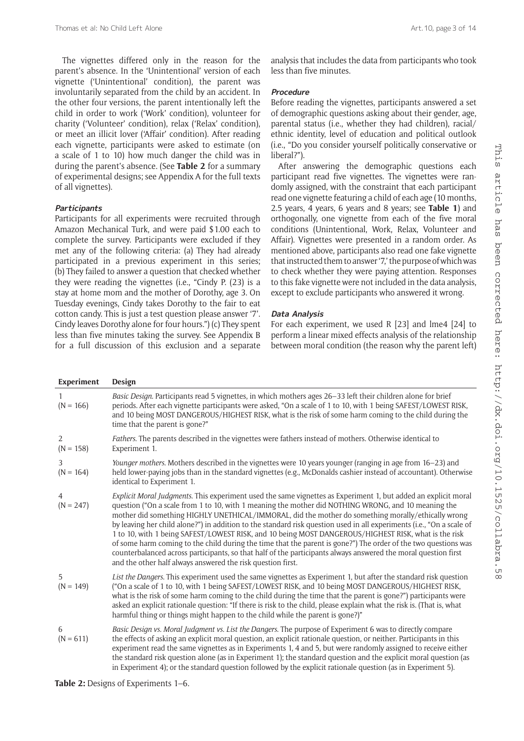The vignettes differed only in the reason for the parent's absence. In the 'Unintentional' version of each vignette ('Unintentional' condition), the parent was involuntarily separated from the child by an accident. In the other four versions, the parent intentionally left the child in order to work ('Work' condition), volunteer for charity ('Volunteer' condition), relax ('Relax' condition), or meet an illicit lover ('Affair' condition). After reading each vignette, participants were asked to estimate (on a scale of 1 to 10) how much danger the child was in during the parent's absence. (See **Table 2** for a summary of experimental designs; see Appendix A for the full texts of all vignettes).

## **Participants**

Participants for all experiments were recruited through Amazon Mechanical Turk, and were paid \$1.00 each to complete the survey. Participants were excluded if they met any of the following criteria: (a) They had already participated in a previous experiment in this series; (b) They failed to answer a question that checked whether they were reading the vignettes (i.e., "Cindy P. (23) is a stay at home mom and the mother of Dorothy, age 3. On Tuesday evenings, Cindy takes Dorothy to the fair to eat cotton candy. This is just a test question please answer '7'. Cindy leaves Dorothy alone for four hours.") (c) They spent less than five minutes taking the survey. See Appendix B for a full discussion of this exclusion and a separate analysis that includes the data from participants who took less than five minutes.

## **Procedure**

Before reading the vignettes, participants answered a set of demographic questions asking about their gender, age, parental status (i.e., whether they had children), racial/ ethnic identity, level of education and political outlook (i.e., "Do you consider yourself politically conservative or liberal?").

After answering the demographic questions each participant read five vignettes. The vignettes were randomly assigned, with the constraint that each participant read one vignette featuring a child of each age (10 months, 2.5 years, 4 years, 6 years and 8 years; see **Table 1**) and orthogonally, one vignette from each of the five moral conditions (Unintentional, Work, Relax, Volunteer and Affair). Vignettes were presented in a random order. As mentioned above, participants also read one fake vignette that instructed them to answer '7,' the purpose of which was to check whether they were paying attention. Responses to this fake vignette were not included in the data analysis, except to exclude participants who answered it wrong.

#### **Data Analysis**

For each experiment, we used R [23] and lme4 [24] to perform a linear mixed effects analysis of the relationship between moral condition (the reason why the parent left)

| Experiment       | Design                                                                                                                                                                                                                                                                                                                                                                                                                                                                                                                                                                                                                                                                                                                                                                                                                                                          |
|------------------|-----------------------------------------------------------------------------------------------------------------------------------------------------------------------------------------------------------------------------------------------------------------------------------------------------------------------------------------------------------------------------------------------------------------------------------------------------------------------------------------------------------------------------------------------------------------------------------------------------------------------------------------------------------------------------------------------------------------------------------------------------------------------------------------------------------------------------------------------------------------|
| 1<br>$(N = 166)$ | Basic Design. Participants read 5 vignettes, in which mothers ages 26-33 left their children alone for brief<br>periods. After each vignette participants were asked, "On a scale of 1 to 10, with 1 being SAFEST/LOWEST RISK,<br>and 10 being MOST DANGEROUS/HIGHEST RISK, what is the risk of some harm coming to the child during the<br>time that the parent is gone?"                                                                                                                                                                                                                                                                                                                                                                                                                                                                                      |
| 2<br>$(N = 158)$ | Fathers. The parents described in the vignettes were fathers instead of mothers. Otherwise identical to<br>Experiment 1.                                                                                                                                                                                                                                                                                                                                                                                                                                                                                                                                                                                                                                                                                                                                        |
| 3<br>$(N = 164)$ | Younger mothers. Mothers described in the vignettes were 10 years younger (ranging in age from 16-23) and<br>held lower-paying jobs than in the standard vignettes (e.g., McDonalds cashier instead of accountant). Otherwise<br>identical to Experiment 1.                                                                                                                                                                                                                                                                                                                                                                                                                                                                                                                                                                                                     |
| 4<br>$(N = 247)$ | Explicit Moral Judgments. This experiment used the same vignettes as Experiment 1, but added an explicit moral<br>question ("On a scale from 1 to 10, with 1 meaning the mother did NOTHING WRONG, and 10 meaning the<br>mother did something HIGHLY UNETHICAL/IMMORAL, did the mother do something morally/ethically wrong<br>by leaving her child alone?") in addition to the standard risk question used in all experiments (i.e., "On a scale of<br>1 to 10, with 1 being SAFEST/LOWEST RISK, and 10 being MOST DANGEROUS/HIGHEST RISK, what is the risk<br>of some harm coming to the child during the time that the parent is gone?") The order of the two questions was<br>counterbalanced across participants, so that half of the participants always answered the moral question first<br>and the other half always answered the risk question first. |
| 5<br>$(N = 149)$ | List the Dangers. This experiment used the same vignettes as Experiment 1, but after the standard risk question<br>("On a scale of 1 to 10, with 1 being SAFEST/LOWEST RISK, and 10 being MOST DANGEROUS/HIGHEST RISK,<br>what is the risk of some harm coming to the child during the time that the parent is gone?") participants were<br>asked an explicit rationale question: "If there is risk to the child, please explain what the risk is. (That is, what<br>harmful thing or things might happen to the child while the parent is gone?)"                                                                                                                                                                                                                                                                                                              |
| 6<br>$(N = 611)$ | Basic Design vs. Moral Judgment vs. List the Dangers. The purpose of Experiment 6 was to directly compare<br>the effects of asking an explicit moral question, an explicit rationale question, or neither. Participants in this<br>experiment read the same vignettes as in Experiments 1, 4 and 5, but were randomly assigned to receive either<br>the standard risk question alone (as in Experiment 1); the standard question and the explicit moral question (as<br>in Experiment 4); or the standard question followed by the explicit rationale question (as in Experiment 5).                                                                                                                                                                                                                                                                            |

This article has been corrected here: [http://dx.doi.org/10.](http://dx.doi.org/10.1525/collabra.58)1525/collabra.58 has been corrected here: http://dx.doi.org/10.1525/collabra.5

This article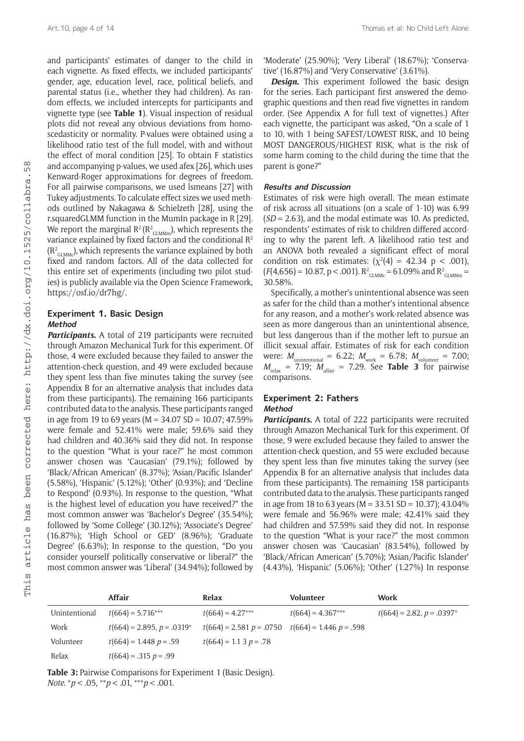and participants' estimates of danger to the child in each vignette. As fixed effects, we included participants' gender, age, education level, race, political beliefs, and parental status (i.e., whether they had children). As random effects, we included intercepts for participants and vignette type (see **Table 1**). Visual inspection of residual plots did not reveal any obvious deviations from homoscedasticity or normality. P-values were obtained using a likelihood ratio test of the full model, with and without the effect of moral condition [25]. To obtain F statistics and accompanying p-values, we used afex [26], which uses Kenward-Roger approximations for degrees of freedom. For all pairwise comparisons, we used lsmeans [27] with Tukey adjustments. To calculate effect sizes we used methods outlined by Nakagawa & Schielzeth [28], using the r.squaredGLMM function in the MumIn package in R [29]. We report the marginal R² (R $^2$ <sub>GLMMm</sub>), which represents the variance explained by fixed factors and the conditional  $R^2$  $(\mathrm{R}^\mathbf{2}_{\scriptscriptstyle{\mathrm{GLMMc}}})$ , which represents the variance explained by both fixed and random factors. All of the data collected for this entire set of experiments (including two pilot studies) is publicly available via the Open Science Framework, <https://osf.io/dr7hg/>.

## **Experiment 1. Basic Design Method**

*Participants***.** A total of 219 participants were recruited through Amazon Mechanical Turk for this experiment. Of those, 4 were excluded because they failed to answer the attention-check question, and 49 were excluded because they spent less than five minutes taking the survey (see Appendix B for an alternative analysis that includes data from these participants). The remaining 166 participants contributed data to the analysis. These participants ranged in age from 19 to 69 years ( $M = 34.07$  SD = 10.07; 47.59% were female and 52.41% were male; 59.6% said they had children and 40.36% said they did not. In response to the question "What is your race?" he most common answer chosen was 'Caucasian' (79.1%); followed by 'Black/African American' (8.37%); 'Asian/Pacific Islander' (5.58%), 'Hispanic' (5.12%); 'Other' (0.93%); and 'Decline to Respond' (0.93%). In response to the question, "What is the highest level of education you have received?" the most common answer was 'Bachelor's Degree' (35.54%); followed by 'Some College' (30.12%); 'Associate's Degree' (16.87%); 'High School or GED' (8.96%); 'Graduate Degree' (6.63%); In response to the question, "Do you consider yourself politically conservative or liberal?" the most common answer was 'Liberal' (34.94%); followed by 'Moderate' (25.90%); 'Very Liberal' (18.67%); 'Conservative' (16.87%) and 'Very Conservative' (3.61%).

*Design***.** This experiment followed the basic design for the series. Each participant first answered the demographic questions and then read five vignettes in random order. (See Appendix A for full text of vignettes.) After each vignette, the participant was asked, "On a scale of 1 to 10, with 1 being SAFEST/LOWEST RISK, and 10 being MOST DANGEROUS/HIGHEST RISK, what is the risk of some harm coming to the child during the time that the parent is gone?"

#### **Results and Discussion**

Estimates of risk were high overall. The mean estimate of risk across all situations (on a scale of 1-10) was 6.99 (*SD* = 2.63), and the modal estimate was 10. As predicted, respondents' estimates of risk to children differed according to why the parent left. A likelihood ratio test and an ANOVA both revealed a significant effect of moral condition on risk estimates:  $(\chi^2(4) = 42.34 \text{ p} < .001)$ ,  $(F(4,656) = 10.87, p < .001)$ .  $R^2_{\text{GLMMC}} = 61.09\%$  and  $R^2_{\text{GLMMm}} =$ 30.58%.

Specifically, a mother's unintentional absence was seen as safer for the child than a mother's intentional absence for any reason, and a mother's work-related absence was seen as more dangerous than an unintentional absence, but less dangerous than if the mother left to pursue an illicit sexual affair. Estimates of risk for each condition were:  $M_{\text{uninternal}} = 6.22$ ;  $M_{\text{work}} = 6.78$ ;  $M_{\text{volunter}} = 7.00$ ;  $M_{\text{relax}}$  = 7.19;  $M_{\text{affair}}$  = 7.29. See **Table 3** for pairwise comparisons.

#### **Experiment 2: Fathers Method**

*Participants***.** A total of 222 participants were recruited through Amazon Mechanical Turk for this experiment. Of those, 9 were excluded because they failed to answer the attention-check question, and 55 were excluded because they spent less than five minutes taking the survey (see Appendix B for an alternative analysis that includes data from these participants). The remaining 158 participants contributed data to the analysis. These participants ranged in age from 18 to 63 years ( $M = 33.51$  SD = 10.37); 43.04% were female and 56.96% were male; 42.41% said they had children and 57.59% said they did not. In response to the question "What is your race?" the most common answer chosen was 'Caucasian' (83.54%), followed by 'Black/African American' (5.70%); 'Asian/Pacific Islander' (4.43%), 'Hispanic' (5.06%); 'Other' (1.27%) In response

|               | Affair                       | Relax                      | <b>Volunteer</b>          | Work                        |
|---------------|------------------------------|----------------------------|---------------------------|-----------------------------|
| Unintentional | $t(664) = 5.716***$          | $t(664) = 4.27***$         | $t(664) = 4.367***$       | $t(664) = 2.82, p = .0397*$ |
| Work          | $t(664) = 2.895, p = .0319*$ | $t(664) = 2.581 p = .0750$ | $t(664) = 1.446 p = .598$ |                             |
| Volunteer     | $t(664) = 1.448 p = .59$     | $t(664) = 1.1$ 3 $p = .78$ |                           |                             |
| Relax         | $t(664) = .315 p = .99$      |                            |                           |                             |

**Table 3:** Pairwise Comparisons for Experiment 1 (Basic Design). *Note*. \**p* < .05, \*\**p* < .01, \*\*\**p* < .001.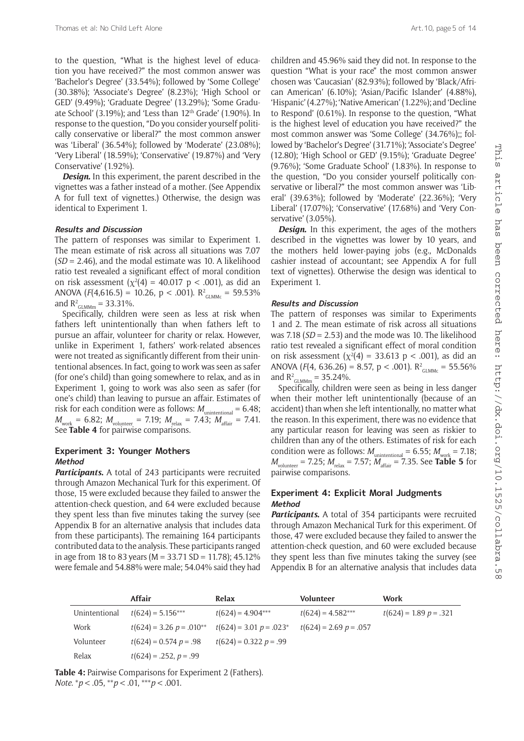to the question, "What is the highest level of education you have received?" the most common answer was 'Bachelor's Degree' (33.54%); followed by 'Some College' (30.38%); 'Associate's Degree' (8.23%); 'High School or GED' (9.49%); 'Graduate Degree' (13.29%); 'Some Graduate School' (3.19%); and 'Less than  $12<sup>th</sup>$  Grade' (1.90%). In response to the question, "Do you consider yourself politically conservative or liberal?" the most common answer was 'Liberal' (36.54%); followed by 'Moderate' (23.08%); 'Very Liberal' (18.59%); 'Conservative' (19.87%) and 'Very Conservative' (1.92%).

*Design***.** In this experiment, the parent described in the vignettes was a father instead of a mother. (See Appendix A for full text of vignettes.) Otherwise, the design was identical to Experiment 1.

## **Results and Discussion**

The pattern of responses was similar to Experiment 1. The mean estimate of risk across all situations was 7.07 (*SD =* 2.46), and the modal estimate was 10. A likelihood ratio test revealed a significant effect of moral condition on risk assessment ( $\chi^2(4) = 40.017 \text{ p} < .001$ ), as did an ANOVA ( $F(4,616.5) = 10.26$ ,  $p < .001$ ).  $R^2_{\text{GLMMc}} = 59.53\%$ and  $R^2_{\text{GLMMm}} = 33.31\%$ .

Specifically, children were seen as less at risk when fathers left unintentionally than when fathers left to pursue an affair, volunteer for charity or relax. However, unlike in Experiment 1, fathers' work-related absences were not treated as significantly different from their unintentional absences. In fact, going to work was seen as safer (for one's child) than going somewhere to relax, and as in Experiment 1, going to work was also seen as safer (for one's child) than leaving to pursue an affair. Estimates of risk for each condition were as follows:  $M_{\textrm{unintentional}} = 6.48;$  $M_{\text{work}} = 6.82$ ;  $M_{\text{volumteer}} = 7.19$ ;  $M_{\text{relax}} = 7.43$ ;  $M_{\text{affair}} = 7.41$ . See **Table 4** for pairwise comparisons.

## **Experiment 3: Younger Mothers Method**

*Participants***.** A total of 243 participants were recruited through Amazon Mechanical Turk for this experiment. Of those, 15 were excluded because they failed to answer the attention-check question, and 64 were excluded because they spent less than five minutes taking the survey (see Appendix B for an alternative analysis that includes data from these participants). The remaining 164 participants contributed data to the analysis. These participants ranged in age from 18 to 83 years ( $M = 33.71$  SD = 11.78); 45.12% were female and 54.88% were male; 54.04% said they had

children and 45.96% said they did not. In response to the question "What is your race" the most common answer chosen was 'Caucasian' (82.93%); followed by 'Black/African American' (6.10%); 'Asian/Pacific Islander' (4.88%), 'Hispanic' (4.27%); 'Native American' (1.22%); and 'Decline to Respond' (0.61%). In response to the question, "What is the highest level of education you have received?" the most common answer was 'Some College' (34.76%);; followed by 'Bachelor's Degree' (31.71%); 'Associate's Degree' (12.80); 'High School or GED' (9.15%); 'Graduate Degree' (9.76%); 'Some Graduate School' (1.83%). In response to the question, "Do you consider yourself politically conservative or liberal?" the most common answer was 'Liberal' (39.63%); followed by 'Moderate' (22.36%); 'Very Liberal' (17.07%); 'Conservative' (17.68%) and 'Very Conservative' (3.05%).

*Design***.** In this experiment, the ages of the mothers described in the vignettes was lower by 10 years, and the mothers held lower-paying jobs (e.g., McDonalds cashier instead of accountant; see Appendix A for full text of vignettes). Otherwise the design was identical to Experiment 1.

#### **Results and Discussion**

The pattern of responses was similar to Experiments 1 and 2. The mean estimate of risk across all situations was 7.18 (*SD* = 2.53) and the mode was 10. The likelihood ratio test revealed a significant effect of moral condition on risk assessment  $(\chi^2(4) = 33.613 \text{ p} < .001)$ , as did an ANOVA ( $F(4, 636.26) = 8.57$ ,  $p < .001$ ).  $R^2_{\text{GLMMc}} = 55.56\%$ and  $R^2_{\text{GLMMm}} = 35.24\%$ .

Specifically, children were seen as being in less danger when their mother left unintentionally (because of an accident) than when she left intentionally, no matter what the reason. In this experiment, there was no evidence that any particular reason for leaving was seen as riskier to children than any of the others. Estimates of risk for each condition were as follows:  $M_{\text{unintentional}} = 6.55$ ;  $M_{\text{work}} = 7.18$ ;  $M_{\text{volunteer}}$  = 7.25;  $M_{\text{relax}}$  = 7.57;  $M_{\text{affair}}$  = 7.35. See **Table 5** for pairwise comparisons.

#### **Experiment 4: Explicit Moral Judgments Method**

*Participants***.** A total of 354 participants were recruited through Amazon Mechanical Turk for this experiment. Of those, 47 were excluded because they failed to answer the attention-check question, and 60 were excluded because they spent less than five minutes taking the survey (see Appendix B for an alternative analysis that includes data

|               | Affair                        | Relax                     | <b>Volunteer</b>         | Work                     |
|---------------|-------------------------------|---------------------------|--------------------------|--------------------------|
| Unintentional | $t(624) = 5.156***$           | $t(624) = 4.904***$       | $t(624) = 4.582***$      | $t(624) = 1.89 p = .321$ |
| Work          | $t(624) = 3.26 p = .010^{**}$ | $t(624) = 3.01 p = .023*$ | $t(624) = 2.69 p = .057$ |                          |
| Volunteer     | $t(624) = 0.574 p = .98$      | $t(624) = 0.322 p = .99$  |                          |                          |
| Relax         | $t(624) = .252, p = .99$      |                           |                          |                          |

**Table 4:** Pairwise Comparisons for Experiment 2 (Fathers). *Note.* \**p* < .05, \*\**p* < .01, \*\*\**p* < .001.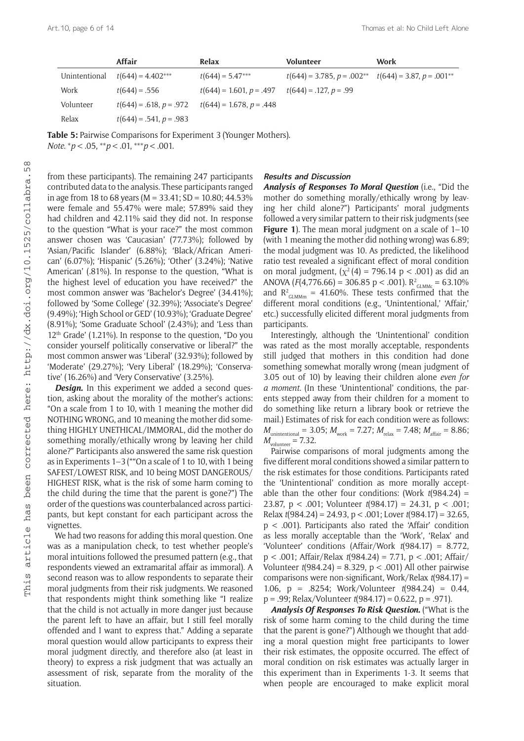|               | Affair                    | Relax                      | <b>Volunteer</b>                                               | Work |
|---------------|---------------------------|----------------------------|----------------------------------------------------------------|------|
| Unintentional | $t(644) = 4.402***$       | $t(644) = 5.47***$         | $t(644) = 3.785$ , $p = .002**$ $t(644) = 3.87$ , $p = .001**$ |      |
| Work          | $t(644) = .556$           | $t(644) = 1.601, p = .497$ | $t(644) = .127, p = .99$                                       |      |
| Volunteer     | $t(644) = .618, p = .972$ | $t(644) = 1.678, p = .448$ |                                                                |      |
| Relax         | $t(644) = .541, p = .983$ |                            |                                                                |      |

**Table 5:** Pairwise Comparisons for Experiment 3 (Younger Mothers). *Note.* \**p* < .05, \*\**p* < .01, \*\*\**p* < .001.

from these participants). The remaining 247 participants contributed data to the analysis. These participants ranged in age from 18 to 68 years (M = 33.41; SD = 10.80; 44.53% were female and 55.47% were male; 57.89% said they had children and 42.11% said they did not. In response to the question "What is your race?" the most common answer chosen was 'Caucasian' (77.73%); followed by 'Asian/Pacific Islander' (6.88%); 'Black/African American' (6.07%); 'Hispanic' (5.26%); 'Other' (3.24%); 'Native American' (.81%). In response to the question, "What is the highest level of education you have received?" the most common answer was 'Bachelor's Degree' (34.41%); followed by 'Some College' (32.39%); 'Associate's Degree' (9.49%); 'High School or GED' (10.93%); 'Graduate Degree' (8.91%); 'Some Graduate School' (2.43%); and 'Less than  $12<sup>th</sup>$  Grade' (1.21%). In response to the question, "Do you consider yourself politically conservative or liberal?" the most common answer was 'Liberal' (32.93%); followed by 'Moderate' (29.27%); 'Very Liberal' (18.29%); 'Conservative' (16.26%) and 'Very Conservative' (3.25%).

*Design*. In this experiment we added a second question, asking about the morality of the mother's actions: "On a scale from 1 to 10, with 1 meaning the mother did NOTHING WRONG, and 10 meaning the mother did something HIGHLY UNETHICAL/IMMORAL, did the mother do something morally/ethically wrong by leaving her child alone?" Participants also answered the same risk question as in Experiments 1–3 (""On a scale of 1 to 10, with 1 being SAFEST/LOWEST RISK, and 10 being MOST DANGEROUS/ HIGHEST RISK, what is the risk of some harm coming to the child during the time that the parent is gone?") The order of the questions was counterbalanced across participants, but kept constant for each participant across the vignettes.

We had two reasons for adding this moral question. One was as a manipulation check, to test whether people's moral intuitions followed the presumed pattern (e.g., that respondents viewed an extramarital affair as immoral). A second reason was to allow respondents to separate their moral judgments from their risk judgments. We reasoned that respondents might think something like "I realize that the child is not actually in more danger just because the parent left to have an affair, but I still feel morally offended and I want to express that." Adding a separate moral question would allow participants to express their moral judgment directly, and therefore also (at least in theory) to express a risk judgment that was actually an assessment of risk, separate from the morality of the situation.

#### **Results and Discussion**

*Analysis of Responses To Moral Question* (i.e., "Did the mother do something morally/ethically wrong by leaving her child alone?") Participants' moral judgments followed a very similar pattern to their risk judgments (see **Figure 1**). The mean moral judgment on a scale of 1–10 (with 1 meaning the mother did nothing wrong) was 6.89; the modal judgment was 10. As predicted, the likelihood ratio test revealed a significant effect of moral condition on moral judgment,  $(\chi^2(4) = 796.14 \text{ p} < .001)$  as did an ANOVA ( $F(4,776.66) = 306.85 \text{ p} < .001$ ).  $R^2_{\text{GLMMc}} = 63.10\%$ and  $R^2_{\text{GLMMm}} = 41.60\%$ . These tests confirmed that the different moral conditions (e.g., 'Unintentional,' 'Affair,' etc.) successfully elicited different moral judgments from participants.

Interestingly, although the 'Unintentional' condition was rated as the most morally acceptable, respondents still judged that mothers in this condition had done something somewhat morally wrong (mean judgment of 3.05 out of 10) by leaving their children alone *even for a moment*. (In these 'Unintentional' conditions, the parents stepped away from their children for a moment to do something like return a library book or retrieve the mail.) Estimates of risk for each condition were as follows:  $M_{\text{unintentional}} = 3.05; M_{\text{work}} = 7.27; M_{\text{relax}} = 7.48; M_{\text{affair}} = 8.86;$  $M_{\text{volumteer}} = 7.32$ .

Pairwise comparisons of moral judgments among the five different moral conditions showed a similar pattern to the risk estimates for those conditions. Participants rated the 'Unintentional' condition as more morally acceptable than the other four conditions: (Work *t*(984.24) = 23.87, p < .001; Volunteer *t*(984.17) = 24.31, p < .001; Relax *t*(984.24) = 24.93, p < .001; Lover *t*(984.17) = 32.65, p < .001). Participants also rated the 'Affair' condition as less morally acceptable than the 'Work', 'Relax' and 'Volunteer' conditions (Affair/Work *t*(984.17) = 8.772, p < .001; Affair/Relax *t*(984.24) = 7.71, p < .001; Affair/ Volunteer *t*(984.24) = 8.329, p < .001) All other pairwise comparisons were non-significant, Work/Relax *t*(984.17) = 1.06, p = .8254; Work/Volunteer *t*(984.24) = 0.44, p = .99; Relax/Volunteer *t*(984.17) = 0.622, p = .971).

*Analysis Of Responses To Risk Question***.** ("What is the risk of some harm coming to the child during the time that the parent is gone?") Although we thought that adding a moral question might free participants to lower their risk estimates, the opposite occurred. The effect of moral condition on risk estimates was actually larger in this experiment than in Experiments 1-3. It seems that when people are encouraged to make explicit moral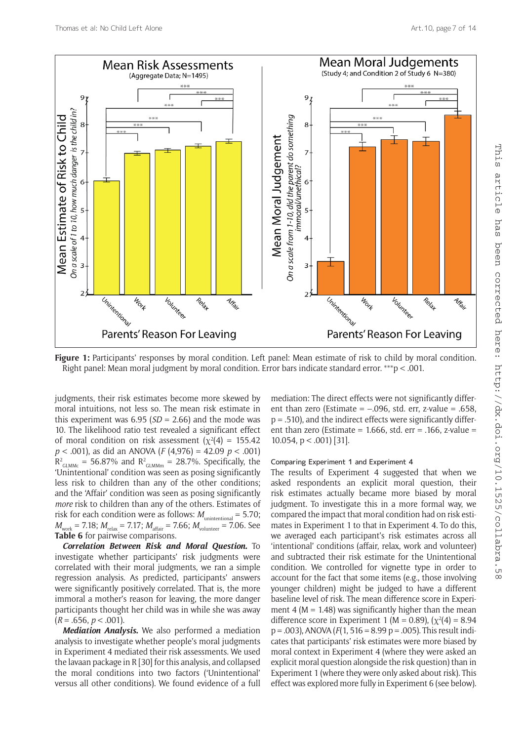

**Figure 1:** Participants' responses by moral condition. Left panel: Mean estimate of risk to child by moral condition. Right panel: Mean moral judgment by moral condition. Error bars indicate standard error. \*\*\*p < .001.

judgments, their risk estimates become more skewed by moral intuitions, not less so. The mean risk estimate in this experiment was 6.95 (*SD* = 2.66) and the mode was 10. The likelihood ratio test revealed a significant effect of moral condition on risk assessment  $(\chi^2(4) = 155.42)$ *p* < .001), as did an ANOVA (*F* (4,976) = 42.09 *p* < .001)  $R^2_{\text{\tiny GLMMC}} = 56.87\%$  and  $R^2_{\text{\tiny GLMMm}} = 28.7\%$ . Specifically, the 'Unintentional' condition was seen as posing significantly less risk to children than any of the other conditions; and the 'Affair' condition was seen as posing significantly *more* risk to children than any of the others. Estimates of risk for each condition were as follows:  $M_{\text{unintentional}} = 5.70$ ;  $M_{\text{work}} = 7.18$ ;  $M_{\text{relax}} = 7.17$ ;  $M_{\text{affair}} = 7.66$ ;  $M_{\text{volunter}} = 7.06$ . See **Table 6** for pairwise comparisons.

*Correlation Between Risk and Moral Question***.** To investigate whether participants' risk judgments were correlated with their moral judgments, we ran a simple regression analysis. As predicted, participants' answers were significantly positively correlated. That is, the more immoral a mother's reason for leaving, the more danger participants thought her child was in while she was away  $(R = .656, p < .001)$ .

*Mediation Analysis***.** We also performed a mediation analysis to investigate whether people's moral judgments in Experiment 4 mediated their risk assessments. We used the lavaan package in R [30] for this analysis, and collapsed the moral conditions into two factors ('Unintentional' versus all other conditions). We found evidence of a full mediation: The direct effects were not significantly different than zero (Estimate =  $-.096$ , std. err, z-value = .658,  $p = .510$ ), and the indirect effects were significantly different than zero (Estimate = 1.666, std. err = .166, z-value = 10.054, p < .001) [31].

#### Comparing Experiment 1 and Experiment 4

The results of Experiment 4 suggested that when we asked respondents an explicit moral question, their risk estimates actually became more biased by moral judgment. To investigate this in a more formal way, we compared the impact that moral condition had on risk estimates in Experiment 1 to that in Experiment 4. To do this, we averaged each participant's risk estimates across all 'intentional' conditions (affair, relax, work and volunteer) and subtracted their risk estimate for the Unintentional condition. We controlled for vignette type in order to account for the fact that some items (e.g., those involving younger children) might be judged to have a different baseline level of risk. The mean difference score in Experiment 4 ( $M = 1.48$ ) was significantly higher than the mean difference score in Experiment 1 (M = 0.89),  $(\chi^2(4) = 8.94)$ p = .003), ANOVA (*F*(1, 516 = 8.99 p = .005). This result indicates that participants' risk estimates were more biased by moral context in Experiment 4 (where they were asked an explicit moral question alongside the risk question) than in Experiment 1 (where they were only asked about risk). This effect was explored more fully in Experiment 6 (see below).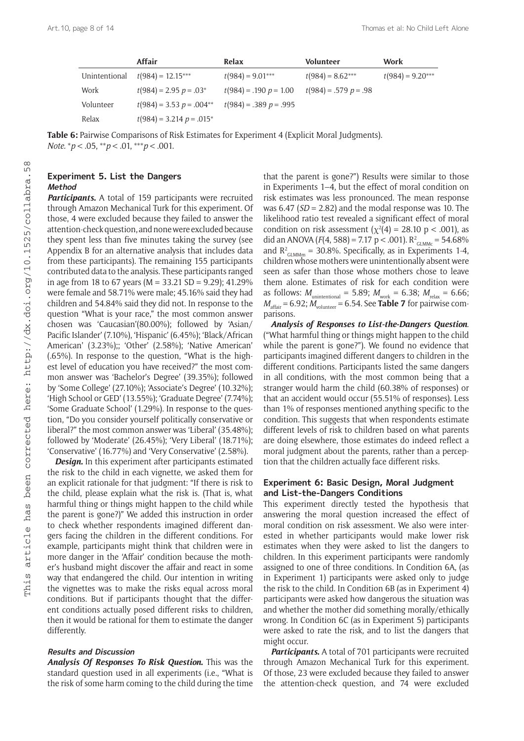|               | <b>Affair</b>                | Relax                    | <b>Volunteer</b>        | Work               |
|---------------|------------------------------|--------------------------|-------------------------|--------------------|
| Unintentional | $t(984) = 12.15***$          | $t(984) = 9.01***$       | $t(984) = 8.62***$      | $t(984) = 9.20***$ |
| Work          | $t(984) = 2.95 p = .03*$     | $t(984) = .190 p = 1.00$ | $t(984) = .579 p = .98$ |                    |
| Volunteer     | $t(984) = 3.53$ $p = .004**$ | $t(984) = .389 p = .995$ |                         |                    |
| Relax         | $t(984) = 3.214 p = .015*$   |                          |                         |                    |

Table 6: Pairwise Comparisons of Risk Estimates for Experiment 4 (Explicit Moral Judgments). *Note.* \**p* < .05, \*\**p* < .01, \*\*\**p* < .001.

#### **Experiment 5. List the Dangers Method**

*Participants***.** A total of 159 participants were recruited through Amazon Mechanical Turk for this experiment. Of those, 4 were excluded because they failed to answer the attention-check question, and none were excluded because they spent less than five minutes taking the survey (see Appendix B for an alternative analysis that includes data from these participants). The remaining 155 participants contributed data to the analysis. These participants ranged in age from 18 to 67 years ( $M = 33.21$  SD = 9.29); 41.29% were female and 58.71% were male; 45.16% said they had children and 54.84% said they did not. In response to the question "What is your race," the most common answer chosen was 'Caucasian'(80.00%); followed by 'Asian/ Pacific Islander' (7.10%), 'Hispanic' (6.45%); 'Black/African American' (3.23%);; 'Other' (2.58%); 'Native American' (.65%). In response to the question, "What is the highest level of education you have received?" the most common answer was 'Bachelor's Degree' (39.35%); followed by 'Some College' (27.10%); 'Associate's Degree' (10.32%); 'High School or GED' (13.55%); 'Graduate Degree' (7.74%); 'Some Graduate School' (1.29%). In response to the question, "Do you consider yourself politically conservative or liberal?" the most common answer was 'Liberal' (35.48%); followed by 'Moderate' (26.45%); 'Very Liberal' (18.71%); 'Conservative' (16.77%) and 'Very Conservative' (2.58%).

*Design***.** In this experiment after participants estimated the risk to the child in each vignette, we asked them for an explicit rationale for that judgment: "If there is risk to the child, please explain what the risk is. (That is, what harmful thing or things might happen to the child while the parent is gone?)" We added this instruction in order to check whether respondents imagined different dangers facing the children in the different conditions. For example, participants might think that children were in more danger in the 'Affair' condition because the mother's husband might discover the affair and react in some way that endangered the child. Our intention in writing the vignettes was to make the risks equal across moral conditions. But if participants thought that the different conditions actually posed different risks to children, then it would be rational for them to estimate the danger differently.

#### **Results and Discussion**

*Analysis Of Responses To Risk Question***.** This was the standard question used in all experiments (i.e., "What is the risk of some harm coming to the child during the time

that the parent is gone?") Results were similar to those in Experiments 1–4, but the effect of moral condition on risk estimates was less pronounced. The mean response was 6.47 (*SD* = 2.82) and the modal response was 10. The likelihood ratio test revealed a significant effect of moral condition on risk assessment  $(\chi^2(4) = 28.10 \text{ p} < .001)$ , as did an ANOVA ( $F(4, 588) = 7.17 \text{ p} < .001$ ).  $R^2_{\text{GLMMc}} = 54.68\%$ and  $R^2_{\text{GLMMm}} = 30.8\%$ . Specifically, as in Experiments 1-4, children whose mothers were unintentionally absent were seen as safer than those whose mothers chose to leave them alone. Estimates of risk for each condition were as follows:  $M_{\text{unintentional}} = 5.89$ ;  $M_{\text{work}} = 6.38$ ;  $M_{\text{relax}} = 6.66$ ;  $M_{\text{affair}} = 6.92$ ;  $\ddot{M}_{\text{volumeter}} = 6.54$ . See **Table 7** for pairwise comparisons.

*Analysis of Responses to List-the-Dangers Question*. ("What harmful thing or things might happen to the child while the parent is gone?"). We found no evidence that participants imagined different dangers to children in the different conditions. Participants listed the same dangers in all conditions, with the most common being that a stranger would harm the child (60.38% of responses) or that an accident would occur (55.51% of responses). Less than 1% of responses mentioned anything specific to the condition. This suggests that when respondents estimate different levels of risk to children based on what parents are doing elsewhere, those estimates do indeed reflect a moral judgment about the parents, rather than a perception that the children actually face different risks.

#### **Experiment 6: Basic Design, Moral Judgment and List-the-Dangers Conditions**

This experiment directly tested the hypothesis that answering the moral question increased the effect of moral condition on risk assessment. We also were interested in whether participants would make lower risk estimates when they were asked to list the dangers to children. In this experiment participants were randomly assigned to one of three conditions. In Condition 6A, (as in Experiment 1) participants were asked only to judge the risk to the child. In Condition 6B (as in Experiment 4) participants were asked how dangerous the situation was and whether the mother did something morally/ethically wrong. In Condition 6C (as in Experiment 5) participants were asked to rate the risk, and to list the dangers that might occur.

*Participants***.** A total of 701 participants were recruited through Amazon Mechanical Turk for this experiment. Of those, 23 were excluded because they failed to answer the attention-check question, and 74 were excluded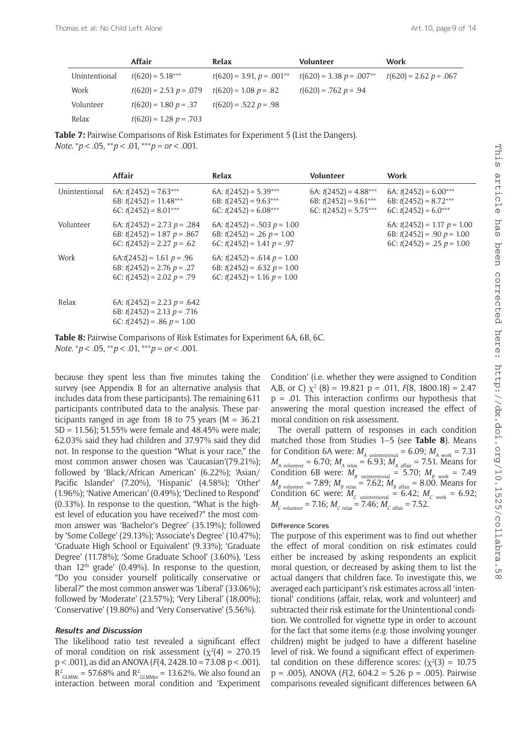|               | Affair                   | Relax                       | <b>Volunteer</b>           | Work                     |
|---------------|--------------------------|-----------------------------|----------------------------|--------------------------|
| Unintentional | $t(620) = 5.18***$       | $t(620) = 3.91, p = .001**$ | $t(620) = 3.38 p = .007**$ | $t(620) = 2.62 p = .067$ |
| Work          | $t(620) = 2.53 p = .079$ | $t(620) = 1.08 p = .82$     | $t(620) = .762 p = .94$    |                          |
| Volunteer     | $t(620) = 1.80 p = .37$  | $t(620) = .522 p = .98$     |                            |                          |
| Relax         | $t(620) = 1.28 p = .703$ |                             |                            |                          |

**Table 7:** Pairwise Comparisons of Risk Estimates for Experiment 5 (List the Dangers). *Note.* \**p* < .05, \*\**p* < .01, \*\*\**p = or* < .001.

|               | <b>Affair</b>                                                                                        | Relax                                                                                           | <b>Volunteer</b>                                                              | Work                                                                                            |
|---------------|------------------------------------------------------------------------------------------------------|-------------------------------------------------------------------------------------------------|-------------------------------------------------------------------------------|-------------------------------------------------------------------------------------------------|
|               |                                                                                                      |                                                                                                 |                                                                               |                                                                                                 |
| Unintentional | 6A: $t(2452) = 7.63***$<br>6B: $t(2452) = 11.48***$<br>6C: $t(2452) = 8.01***$                       | 6A: $t(2452) = 5.39***$<br>6B: $t(2452) = 9.63***$<br>6C: $t(2452) = 6.08***$                   | 6A: $t(2452) = 4.88***$<br>6B: $t(2452) = 9.61***$<br>6C: $t(2452) = 5.75***$ | 6A: $t(2452) = 6.00***$<br>6B: $t(2452) = 8.72***$<br>6C: $t(2452) = 6.0***$                    |
| Volunteer     | 6A: $t(2452) = 2.73$ $p = .284$<br>6B: $t(2452) = 1.87$ $p = .867$<br>6C: $t(2452) = 2.27$ $p = .62$ | 6A: $t(2452) = .503 p = 1.00$<br>6B: $t(2452) = .26 p = 1.00$<br>6C: $t(2452) = 1.41 p = .97$   |                                                                               | 6A: $t(2452) = 1.17$ $p = 1.00$<br>6B: $t(2452) = .90 p = 1.00$<br>6C: $t(2452) = .25 p = 1.00$ |
| Work          | $6A: t(2452) = 1.61 p = .96$<br>6B: $t(2452) = 2.76 p = .27$<br>6C: $t(2452) = 2.02 p = .79$         | 6A: $t(2452) = .614 p = 1.00$<br>6B: $t(2452) = .632 p = 1.00$<br>6C: $t(2452) = 1.16 p = 1.00$ |                                                                               |                                                                                                 |
| Relax         | 6A: $t(2452) = 2.23 p = .642$<br>6B: $t(2452) = 2.13 p = .716$<br>6C: $t(2452) = .86 p = 1.00$       |                                                                                                 |                                                                               |                                                                                                 |

**Table 8:** Pairwise Comparisons of Risk Estimates for Experiment 6A, 6B, 6C. *Note.* \**p* < .05, \*\**p* < .01, \*\*\**p = or* < .001.

because they spent less than five minutes taking the survey (see Appendix B for an alternative analysis that includes data from these participants). The remaining 611 participants contributed data to the analysis. These participants ranged in age from 18 to 75 years  $(M = 36.21)$ SD = 11.56); 51.55% were female and 48.45% were male; 62.03% said they had children and 37.97% said they did not. In response to the question "What is your race," the most common answer chosen was 'Caucasian'(79.21%); followed by 'Black/African American' (6.22%); 'Asian/ Pacific Islander' (7.20%), 'Hispanic' (4.58%); 'Other' (1.96%); 'Native American' (0.49%); 'Declined to Respond' (0.33%). In response to the question, "What is the highest level of education you have received?" the most common answer was 'Bachelor's Degree' (35.19%); followed by 'Some College' (29.13%); 'Associate's Degree' (10.47%); 'Graduate High School or Equivalent' (9.33%); 'Graduate Degree' (11.78%); 'Some Graduate School' (3.60%), 'Less than  $12<sup>th</sup>$  grade' (0.49%). In response to the question, "Do you consider yourself politically conservative or liberal?" the most common answer was 'Liberal' (33.06%); followed by 'Moderate' (23.57%); 'Very Liberal' (18.00%); 'Conservative' (19.80%) and 'Very Conservative' (5.56%).

#### **Results and Discussion**

The likelihood ratio test revealed a significant effect of moral condition on risk assessment  $(\chi^2(4) = 270.15$ p < .001), as did an ANOVA (*F*(4, 2428.10 = 73.08 p < .001).  $R^2_{\text{\tiny GLMMC}}$  = 57.68% and  $R^2_{\text{\tiny GLMMm}}$  = 13.62%. We also found an interaction between moral condition and 'Experiment Condition' (i.e. whether they were assigned to Condition A,B, or C)  $\chi^2$  (8) = 19.821 p = .011,  $F(8, 1800.18) = 2.47$  $p = .01$ . This interaction confirms our hypothesis that answering the moral question increased the effect of moral condition on risk assessment.

The overall pattern of responses in each condition matched those from Studies 1–5 (see **Table 8**). Means for Condition 6A were:  $M_A$  unintentional = 6.09;  $M_A$  work = 7.31  $M_{A \text{ volumeer}} = 6.70$ ;  $M_{A \text{ relax}} = 6.93$ ;  $M_{A \text{ affair}} = 7.51$ . Means for Condition 6B were:  $M_{B}$  unintentional = 5.70;  $M_{B}$  work = 7.49  $M_{B \text{ volume}}$  = 7.89;  $M_{B \text{ relax}}$  = 7.62;  $M_{B \text{ affine}}$  = 8.00. Means for Condition 6C were:  $M_c$  unintentional = 6.42;  $M_c$  work = 6.92;  $M_{C \text{ volume}} = 7.16$ ;  $M_{C \text{ relax}} = 7.46$ ;  $M_{C \text{ affair}} = 7.52$ .

#### Difference Scores

The purpose of this experiment was to find out whether the effect of moral condition on risk estimates could either be increased by asking respondents an explicit moral question, or decreased by asking them to list the actual dangers that children face. To investigate this, we averaged each participant's risk estimates across all 'intentional' conditions (affair, relax, work and volunteer) and subtracted their risk estimate for the Unintentional condition. We controlled for vignette type in order to account for the fact that some items (e.g. those involving younger children) might be judged to have a different baseline level of risk. We found a significant effect of experimental condition on these difference scores:  $(\chi^2(3) = 10.75)$ p = .005), ANOVA (*F*(2, 604.2 = 5.26 p = .005). Pairwise comparisons revealed significant differences between 6A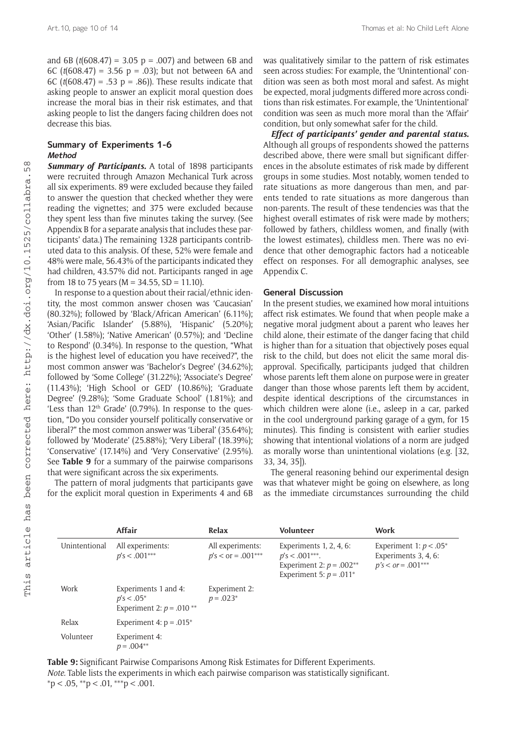and 6B (*t*(608.47) = 3.05 p = .007) and between 6B and 6C (*t*(608.47) = 3.56 p = .03); but not between 6A and 6C ( $t(608.47) = .53$  p = .86)). These results indicate that asking people to answer an explicit moral question does increase the moral bias in their risk estimates, and that asking people to list the dangers facing children does not decrease this bias.

#### **Summary of Experiments 1-6 Method**

*Summary of Participants.* A total of 1898 participants were recruited through Amazon Mechanical Turk across all six experiments. 89 were excluded because they failed to answer the question that checked whether they were reading the vignettes; and 375 were excluded because they spent less than five minutes taking the survey. (See Appendix B for a separate analysis that includes these participants' data.) The remaining 1328 participants contributed data to this analysis. Of these, 52% were female and 48% were male, 56.43% of the participants indicated they had children, 43.57% did not. Participants ranged in age from 18 to 75 years ( $M = 34.55$ , SD = 11.10).

In response to a question about their racial/ethnic identity, the most common answer chosen was 'Caucasian' (80.32%); followed by 'Black/African American' (6.11%); 'Asian/Pacific Islander' (5.88%), 'Hispanic' (5.20%); 'Other' (1.58%); 'Native American' (0.57%); and 'Decline to Respond' (0.34%). In response to the question, "What is the highest level of education you have received?", the most common answer was 'Bachelor's Degree' (34.62%); followed by 'Some College' (31.22%); 'Associate's Degree' (11.43%); 'High School or GED' (10.86%); 'Graduate Degree' (9.28%); 'Some Graduate School' (1.81%); and 'Less than 12<sup>th</sup> Grade' (0.79%). In response to the question, "Do you consider yourself politically conservative or liberal?" the most common answer was 'Liberal' (35.64%); followed by 'Moderate' (25.88%); 'Very Liberal' (18.39%); 'Conservative' (17.14%) and 'Very Conservative' (2.95%). See **Table 9** for a summary of the pairwise comparisons that were significant across the six experiments.

The pattern of moral judgments that participants gave for the explicit moral question in Experiments 4 and 6B was qualitatively similar to the pattern of risk estimates seen across studies: For example, the 'Unintentional' condition was seen as both most moral and safest. As might be expected, moral judgments differed more across conditions than risk estimates. For example, the 'Unintentional' condition was seen as much more moral than the 'Affair' condition, but only somewhat safer for the child.

*Effect of participants' gender and parental status***.**  Although all groups of respondents showed the patterns described above, there were small but significant differences in the absolute estimates of risk made by different groups in some studies. Most notably, women tended to rate situations as more dangerous than men, and parents tended to rate situations as more dangerous than non-parents. The result of these tendencies was that the highest overall estimates of risk were made by mothers; followed by fathers, childless women, and finally (with the lowest estimates), childless men. There was no evidence that other demographic factors had a noticeable effect on responses. For all demographic analyses, see Appendix C.

#### **General Discussion**

In the present studies, we examined how moral intuitions affect risk estimates. We found that when people make a negative moral judgment about a parent who leaves her child alone, their estimate of the danger facing that child is higher than for a situation that objectively poses equal risk to the child, but does not elicit the same moral disapproval. Specifically, participants judged that children whose parents left them alone on purpose were in greater danger than those whose parents left them by accident, despite identical descriptions of the circumstances in which children were alone (i.e., asleep in a car, parked in the cool underground parking garage of a gym, for 15 minutes). This finding is consistent with earlier studies showing that intentional violations of a norm are judged as morally worse than unintentional violations (e.g. [32, 33, 34, 35]).

The general reasoning behind our experimental design was that whatever might be going on elsewhere, as long as the immediate circumstances surrounding the child

|               | Affair                                                               | Relax                                    | <b>Volunteer</b>                                                                                            | <b>Work</b>                                                               |
|---------------|----------------------------------------------------------------------|------------------------------------------|-------------------------------------------------------------------------------------------------------------|---------------------------------------------------------------------------|
| Unintentional | All experiments:<br>$p's < .001***$                                  | All experiments:<br>$p's <$ or = .001*** | Experiments $1, 2, 4, 6$ :<br>$p's < .001***$ .<br>Experiment 2: $p = .002**$<br>Experiment 5: $p = .011^*$ | Experiment 1: $p < .05^*$<br>Experiments 3, 4, 6:<br>$p's < or = .001***$ |
| Work          | Experiments 1 and 4:<br>$p's < .05^*$<br>Experiment 2: $p = .010$ ** | Experiment 2:<br>$p = .023*$             |                                                                                                             |                                                                           |
| Relax         | Experiment 4: $p = .015^*$                                           |                                          |                                                                                                             |                                                                           |
| Volunteer     | Experiment 4:<br>$p = .004**$                                        |                                          |                                                                                                             |                                                                           |

**Table 9:** Significant Pairwise Comparisons Among Risk Estimates for Different Experiments. *Note.* Table lists the experiments in which each pairwise comparison was statistically significant.  $*p < .05, **p < .01, **p < .001.$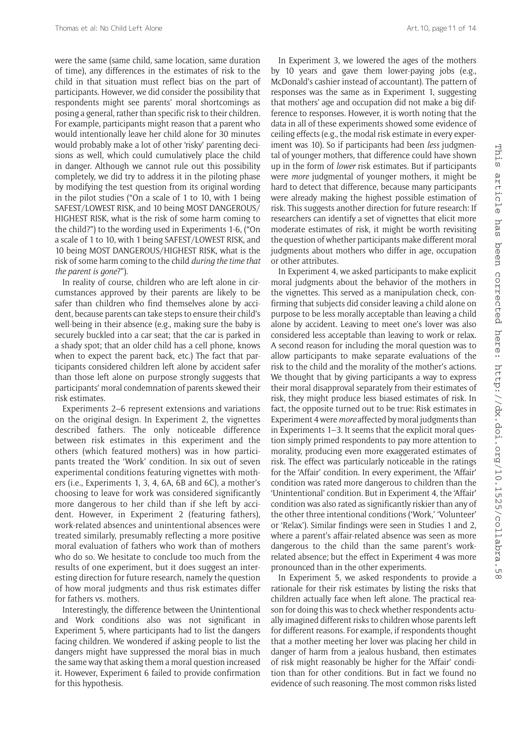were the same (same child, same location, same duration of time), any differences in the estimates of risk to the child in that situation must reflect bias on the part of participants. However, we did consider the possibility that respondents might see parents' moral shortcomings as posing a general, rather than specific risk to their children. For example, participants might reason that a parent who would intentionally leave her child alone for 30 minutes would probably make a lot of other 'risky' parenting decisions as well, which could cumulatively place the child in danger. Although we cannot rule out this possibility completely, we did try to address it in the piloting phase by modifying the test question from its original wording in the pilot studies ("On a scale of 1 to 10, with 1 being SAFEST/LOWEST RISK, and 10 being MOST DANGEROUS/ HIGHEST RISK, what is the risk of some harm coming to the child?") to the wording used in Experiments 1-6, ("On a scale of 1 to 10, with 1 being SAFEST/LOWEST RISK, and 10 being MOST DANGEROUS/HIGHEST RISK, what is the risk of some harm coming to the child *during the time that the parent is gone*?").

In reality of course, children who are left alone in circumstances approved by their parents are likely to be safer than children who find themselves alone by accident, because parents can take steps to ensure their child's well-being in their absence (e.g., making sure the baby is securely buckled into a car seat; that the car is parked in a shady spot; that an older child has a cell phone, knows when to expect the parent back, etc.) The fact that participants considered children left alone by accident safer than those left alone on purpose strongly suggests that participants' moral condemnation of parents skewed their risk estimates.

Experiments 2–6 represent extensions and variations on the original design. In Experiment 2, the vignettes described fathers. The only noticeable difference between risk estimates in this experiment and the others (which featured mothers) was in how participants treated the 'Work' condition. In six out of seven experimental conditions featuring vignettes with mothers (i.e., Experiments 1, 3, 4, 6A, 6B and 6C), a mother's choosing to leave for work was considered significantly more dangerous to her child than if she left by accident. However, in Experiment 2 (featuring fathers), work-related absences and unintentional absences were treated similarly, presumably reflecting a more positive moral evaluation of fathers who work than of mothers who do so. We hesitate to conclude too much from the results of one experiment, but it does suggest an interesting direction for future research, namely the question of how moral judgments and thus risk estimates differ for fathers vs. mothers.

Interestingly, the difference between the Unintentional and Work conditions also was not significant in Experiment 5, where participants had to list the dangers facing children. We wondered if asking people to list the dangers might have suppressed the moral bias in much the same way that asking them a moral question increased it. However, Experiment 6 failed to provide confirmation for this hypothesis.

In Experiment 3, we lowered the ages of the mothers by 10 years and gave them lower-paying jobs (e.g., McDonald's cashier instead of accountant). The pattern of responses was the same as in Experiment 1, suggesting that mothers' age and occupation did not make a big difference to responses. However, it is worth noting that the data in all of these experiments showed some evidence of ceiling effects (e.g., the modal risk estimate in every experiment was 10). So if participants had been *less* judgmental of younger mothers, that difference could have shown up in the form of *lower* risk estimates. But if participants were *more* judgmental of younger mothers, it might be hard to detect that difference, because many participants were already making the highest possible estimation of risk. This suggests another direction for future research: If researchers can identify a set of vignettes that elicit more moderate estimates of risk, it might be worth revisiting the question of whether participants make different moral judgments about mothers who differ in age, occupation or other attributes.

In Experiment 4, we asked participants to make explicit moral judgments about the behavior of the mothers in the vignettes. This served as a manipulation check, confirming that subjects did consider leaving a child alone on purpose to be less morally acceptable than leaving a child alone by accident. Leaving to meet one's lover was also considered less acceptable than leaving to work or relax. A second reason for including the moral question was to allow participants to make separate evaluations of the risk to the child and the morality of the mother's actions. We thought that by giving participants a way to express their moral disapproval separately from their estimates of risk, they might produce less biased estimates of risk. In fact, the opposite turned out to be true: Risk estimates in Experiment 4 were *more* affected by moral judgments than in Experiments 1–3. It seems that the explicit moral question simply primed respondents to pay more attention to morality, producing even more exaggerated estimates of risk. The effect was particularly noticeable in the ratings for the 'Affair' condition. In every experiment, the 'Affair' condition was rated more dangerous to children than the 'Unintentional' condition. But in Experiment 4, the 'Affair' condition was also rated as significantly riskier than any of the other three intentional conditions ('Work,' 'Volunteer' or 'Relax'). Similar findings were seen in Studies 1 and 2, where a parent's affair-related absence was seen as more dangerous to the child than the same parent's workrelated absence; but the effect in Experiment 4 was more pronounced than in the other experiments.

In Experiment 5, we asked respondents to provide a rationale for their risk estimates by listing the risks that children actually face when left alone. The practical reason for doing this was to check whether respondents actually imagined different risks to children whose parents left for different reasons. For example, if respondents thought that a mother meeting her lover was placing her child in danger of harm from a jealous husband, then estimates of risk might reasonably be higher for the 'Affair' condition than for other conditions. But in fact we found no evidence of such reasoning. The most common risks listed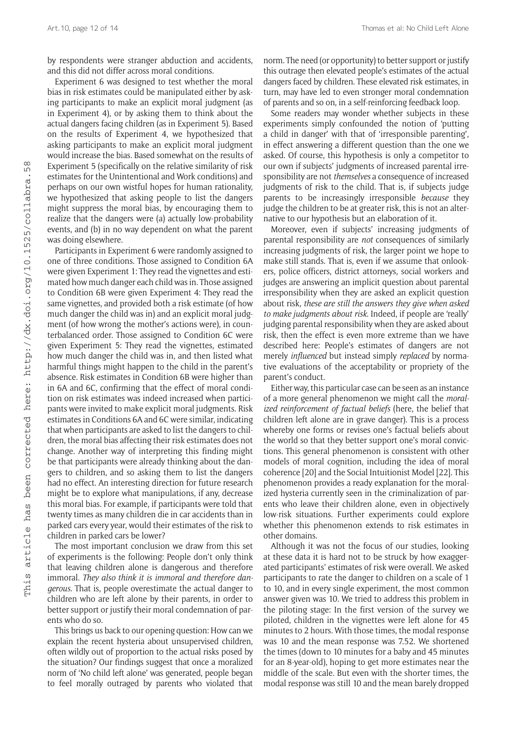by respondents were stranger abduction and accidents, and this did not differ across moral conditions.

Experiment 6 was designed to test whether the moral bias in risk estimates could be manipulated either by asking participants to make an explicit moral judgment (as in Experiment 4), or by asking them to think about the actual dangers facing children (as in Experiment 5). Based on the results of Experiment 4, we hypothesized that asking participants to make an explicit moral judgment would increase the bias. Based somewhat on the results of Experiment 5 (specifically on the relative similarity of risk estimates for the Unintentional and Work conditions) and perhaps on our own wistful hopes for human rationality, we hypothesized that asking people to list the dangers might suppress the moral bias, by encouraging them to realize that the dangers were (a) actually low-probability events, and (b) in no way dependent on what the parent was doing elsewhere.

Participants in Experiment 6 were randomly assigned to one of three conditions. Those assigned to Condition 6A were given Experiment 1: They read the vignettes and estimated how much danger each child was in. Those assigned to Condition 6B were given Experiment 4: They read the same vignettes, and provided both a risk estimate (of how much danger the child was in) and an explicit moral judgment (of how wrong the mother's actions were), in counterbalanced order. Those assigned to Condition 6C were given Experiment 5: They read the vignettes, estimated how much danger the child was in, and then listed what harmful things might happen to the child in the parent's absence. Risk estimates in Condition 6B were higher than in 6A and 6C, confirming that the effect of moral condition on risk estimates was indeed increased when participants were invited to make explicit moral judgments. Risk estimates in Conditions 6A and 6C were similar, indicating that when participants are asked to list the dangers to children, the moral bias affecting their risk estimates does not change. Another way of interpreting this finding might be that participants were already thinking about the dangers to children, and so asking them to list the dangers had no effect. An interesting direction for future research might be to explore what manipulations, if any, decrease this moral bias. For example, if participants were told that twenty times as many children die in car accidents than in parked cars every year, would their estimates of the risk to children in parked cars be lower?

The most important conclusion we draw from this set of experiments is the following: People don't only think that leaving children alone is dangerous and therefore immoral. *They also think it is immoral and therefore dangerous*. That is, people overestimate the actual danger to children who are left alone by their parents, in order to better support or justify their moral condemnation of parents who do so.

This brings us back to our opening question: How can we explain the recent hysteria about unsupervised children, often wildly out of proportion to the actual risks posed by the situation? Our findings suggest that once a moralized norm of 'No child left alone' was generated, people began to feel morally outraged by parents who violated that

norm. The need (or opportunity) to better support or justify this outrage then elevated people's estimates of the actual dangers faced by children. These elevated risk estimates, in turn, may have led to even stronger moral condemnation of parents and so on, in a self-reinforcing feedback loop.

Some readers may wonder whether subjects in these experiments simply confounded the notion of 'putting a child in danger' with that of 'irresponsible parenting', in effect answering a different question than the one we asked. Of course, this hypothesis is only a competitor to our own if subjects' judgments of increased parental irresponsibility are not *themselves* a consequence of increased judgments of risk to the child. That is, if subjects judge parents to be increasingly irresponsible *because* they judge the children to be at greater risk, this is not an alternative to our hypothesis but an elaboration of it.

Moreover, even if subjects' increasing judgments of parental responsibility are *not* consequences of similarly increasing judgments of risk, the larger point we hope to make still stands. That is, even if we assume that onlookers, police officers, district attorneys, social workers and judges are answering an implicit question about parental irresponsibility when they are asked an explicit question about risk, *these are still the answers they give when asked to make judgments about risk*. Indeed, if people are 'really' judging parental responsibility when they are asked about risk, then the effect is even more extreme than we have described here: People's estimates of dangers are not merely *influenced* but instead simply *replaced* by normative evaluations of the acceptability or propriety of the parent's conduct.

Either way, this particular case can be seen as an instance of a more general phenomenon we might call the *moralized reinforcement of factual beliefs* (here, the belief that children left alone are in grave danger). This is a process whereby one forms or revises one's factual beliefs about the world so that they better support one's moral convictions. This general phenomenon is consistent with other models of moral cognition, including the idea of moral coherence [20] and the Social Intuitionist Model [22]. This phenomenon provides a ready explanation for the moralized hysteria currently seen in the criminalization of parents who leave their children alone, even in objectively low-risk situations. Further experiments could explore whether this phenomenon extends to risk estimates in other domains.

Although it was not the focus of our studies, looking at these data it is hard not to be struck by how exaggerated participants' estimates of risk were overall. We asked participants to rate the danger to children on a scale of 1 to 10, and in every single experiment, the most common answer given was 10. We tried to address this problem in the piloting stage: In the first version of the survey we piloted, children in the vignettes were left alone for 45 minutes to 2 hours. With those times, the modal response was 10 and the mean response was 7.52. We shortened the times (down to 10 minutes for a baby and 45 minutes for an 8-year-old), hoping to get more estimates near the middle of the scale. But even with the shorter times, the modal response was still 10 and the mean barely dropped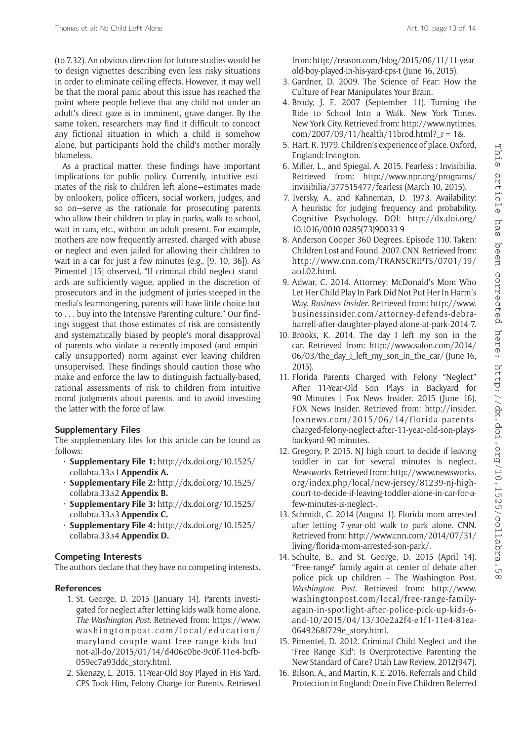(to 7.32). An obvious direction for future studies would be to design vignettes describing even less risky situations in order to eliminate ceiling effects. However, it may well be that the moral panic about this issue has reached the point where people believe that any child not under an adult's direct gaze is in imminent, grave danger. By the same token, researchers may find it difficult to concoct any fictional situation in which a child is somehow alone, but participants hold the child's mother morally blameless.

As a practical matter, these findings have important implications for public policy. Currently, intuitive estimates of the risk to children left alone—estimates made by onlookers, police officers, social workers, judges, and so on—serve as the rationale for prosecuting parents who allow their children to play in parks, walk to school, wait in cars, etc., without an adult present. For example, mothers are now frequently arrested, charged with abuse or neglect and even jailed for allowing their children to wait in a car for just a few minutes (e.g., [9, 10, 36]). As Pimentel [15] observed, "If criminal child neglect standards are sufficiently vague, applied in the discretion of prosecutors and in the judgment of juries steeped in the media's fearmongering, parents will have little choice but to . . . buy into the Intensive Parenting culture." Our findings suggest that those estimates of risk are consistently and systematically biased by people's moral disapproval of parents who violate a recently-imposed (and empirically unsupported) norm against ever leaving children unsupervised. These findings should caution those who make and enforce the law to distinguish factually-based, rational assessments of risk to children from intuitive moral judgments about parents, and to avoid investing the latter with the force of law.

## **Supplementary Files**

The supplementary files for this article can be found as follows:

- **Supplementary File 1:** [http://dx.doi.org/10.1525/](http://dx.doi.org/10.1525/collabra.33.s1) [collabra.33.s1](http://dx.doi.org/10.1525/collabra.33.s1) **Appendix A.**
- **Supplementary File 2:** [http://dx.doi.org/10.1525/](http://dx.doi.org/10.1525/collabra.33.s2) [collabra.33.s2](http://dx.doi.org/10.1525/collabra.33.s2) **Appendix B.**
- **Supplementary File 3:** [http://dx.doi.org/10.1525/](http://dx.doi.org/10.1525/collabra.33.s3) [collabra.33.s3](http://dx.doi.org/10.1525/collabra.33.s3) **Appendix C.**
- **Supplementary File 4:** [http://dx.doi.org/10.1525/](http://dx.doi.org/10.1525/collabra.33.s4) [collabra.33.s4](http://dx.doi.org/10.1525/collabra.33.s4) **Appendix D.**

## **Competing Interests**

The authors declare that they have no competing interests.

#### **References**

- 1. St. George, D. 2015 (January 14). Parents investigated for neglect after letting kids walk home alone. *The Washington Post*. Retrieved from: [https://www.](https://www.washingtonpost.com/local/education/maryland-couple-want-free-range-kids-but-not-all-do/2015/01/14/d406c0be-9c0f-11e4-bcfb-059ec7a93ddc_story.html) [washingtonpost.com/local/education/](https://www.washingtonpost.com/local/education/maryland-couple-want-free-range-kids-but-not-all-do/2015/01/14/d406c0be-9c0f-11e4-bcfb-059ec7a93ddc_story.html) [maryland-couple-want-free-range-kids-but](https://www.washingtonpost.com/local/education/maryland-couple-want-free-range-kids-but-not-all-do/2015/01/14/d406c0be-9c0f-11e4-bcfb-059ec7a93ddc_story.html)[not-all-do/2015/01/14/d406c0be-9c0f-11e4-bcfb-](https://www.washingtonpost.com/local/education/maryland-couple-want-free-range-kids-but-not-all-do/2015/01/14/d406c0be-9c0f-11e4-bcfb-059ec7a93ddc_story.html)[059ec7a93ddc\\_story.html.](https://www.washingtonpost.com/local/education/maryland-couple-want-free-range-kids-but-not-all-do/2015/01/14/d406c0be-9c0f-11e4-bcfb-059ec7a93ddc_story.html)
- 2. Skenazy, L. 2015. 11-Year-Old Boy Played in His Yard. CPS Took Him, Felony Charge for Parents. Retrieved

from: [http://reason.com/blog/2015/06/11/11-year](http://reason.com/blog/2015/06/11/11-year-old-boy-played-in-his-yard-cps-t)[old-boy-played-in-his-yard-cps-t](http://reason.com/blog/2015/06/11/11-year-old-boy-played-in-his-yard-cps-t) (June 16, 2015).

- 3. Gardner, D. 2009. The Science of Fear: How the Culture of Fear Manipulates Your Brain.
- 4. Brody, J. E. 2007 (September 11). Turning the Ride to School Into a Walk. New York Times. New York City. Retrieved from: [http://www.nytimes.](http://www.nytimes.com/2007/09/11/health/11brod.html?_r = 1&.) [com/2007/09/11/health/11brod.html?\\_r = 1&](http://www.nytimes.com/2007/09/11/health/11brod.html?_r = 1&.).
- 5. Hart, R. 1979. Children's experience of place. Oxford, England: Irvington.
- 6. Miller, L., and Spiegal, A. 2015. Fearless : Invisibilia. Retrieved from: [http://www.npr.org/programs/](http://www.npr.org/programs/invisibilia/377515477/fearless) [invisibilia/377515477/fearless](http://www.npr.org/programs/invisibilia/377515477/fearless) (March 10, 2015).
- 7. Tversky, A., and Kahneman, D. 1973. Availability: A heuristic for judging frequency and probability. Cognitive Psychology. DOI: [http://dx.doi.org/](http://dx.doi.org/10.1016/0010-0285(73)90033-9) [10.1016/0010-0285\(73\)90033-9](http://dx.doi.org/10.1016/0010-0285(73)90033-9)
- 8. Anderson Cooper 360 Degrees. Episode 110. Taken: Children Lost and Found. 2007. CNN. Retrieved from: [http://www.cnn.com/TRANSCRIPTS/0701/19/](http://www.cnn.com/TRANSCRIPTS/0701/19/acd.02.html) [acd.02.html](http://www.cnn.com/TRANSCRIPTS/0701/19/acd.02.html).
- 9. Adwar, C. 2014. Attorney: McDonald's Mom Who Let Her Child Play In Park Did Not Put Her In Harm's Way. *Business Insider*. Retrieved from: [http://www.](http://www.businessinsider.com/attorney-defends-debra-
harrell-after-daughter-played-alone-at-park-2014-7) [businessinsider.com/attorney-defends-debra](http://www.businessinsider.com/attorney-defends-debra-
harrell-after-daughter-played-alone-at-park-2014-7)[harrell-after-daughter-played-alone-at-park-2014-7](http://www.businessinsider.com/attorney-defends-debra-
harrell-after-daughter-played-alone-at-park-2014-7).
- 10. Brooks, K. 2014. The day I left my son in the car. Retrieved from: [http://www.salon.com/2014/](http://www.salon.com/2014/06/03/the_day_i_left_my_son_in_the_car/) [06/03/the\\_day\\_i\\_left\\_my\\_son\\_in\\_the\\_car/](http://www.salon.com/2014/06/03/the_day_i_left_my_son_in_the_car/) (June 16, 2015).
- 11. Florida Parents Charged with Felony "Neglect" After 11-Year-Old Son Plays in Backyard for 90 Minutes | Fox News Insider. 2015 (June 16). FOX News Insider. Retrieved from: [http://insider.](http://www.businessinsider.com/attorney-defends-debra-
harrell-after-daughter-played-alone-at-park-2014-7) [foxnews.com/2015/06/14/florida-parents](http://www.businessinsider.com/attorney-defends-debra-
harrell-after-daughter-played-alone-at-park-2014-7)[charged-felony-neglect-after-11-year-old-son-plays](http://www.businessinsider.com/attorney-defends-debra-
harrell-after-daughter-played-alone-at-park-2014-7)[backyard-90-minutes.](http://www.businessinsider.com/attorney-defends-debra-
harrell-after-daughter-played-alone-at-park-2014-7)
- 12. Gregory, P. 2015. NJ high court to decide if leaving toddler in car for several minutes is neglect. *Newsworks*. Retrieved from: [http://www.newsworks.](http://www.newsworks.org/index.php/local/new-jersey/81239-nj-high-court-to-decide-if-leaving-toddler-alone-in-car-for-a-few-minutes-is-neglect-) [org/index.php/local/new-jersey/81239-nj-high](http://www.newsworks.org/index.php/local/new-jersey/81239-nj-high-court-to-decide-if-leaving-toddler-alone-in-car-for-a-few-minutes-is-neglect-)[court-to-decide-if-leaving-toddler-alone-in-car-for-a](http://www.newsworks.org/index.php/local/new-jersey/81239-nj-high-court-to-decide-if-leaving-toddler-alone-in-car-for-a-few-minutes-is-neglect-)[few-minutes-is-neglect-.](http://www.newsworks.org/index.php/local/new-jersey/81239-nj-high-court-to-decide-if-leaving-toddler-alone-in-car-for-a-few-minutes-is-neglect-)
- 13. Schmidt, C. 2014 (August 1). Florida mom arrested after letting 7-year-old walk to park alone. CNN. Retrieved from: [http://www.cnn.com/2014/07/31/](http://www.cnn.com/2014/07/31/living/florida-mom-arrested-son-park/) [living/florida-mom-arrested-son-park/.](http://www.cnn.com/2014/07/31/living/florida-mom-arrested-son-park/)
- 14. Schulte, B., and St. George, D. 2015 (April 14). "Free-range" family again at center of debate after police pick up children – The Washington Post. *Washington Post*. Retrieved from: [http://www.](http://www.washingtonpost.com/local/free-range-family-again-in-spotlight-after-police-pick-up-kids-6-and-10/2015/04/13/30e2a2f4-e1f1-11e4-81ea-0649268f729e_story.html) [washingtonpost.com/local/free-range-family](http://www.washingtonpost.com/local/free-range-family-again-in-spotlight-after-police-pick-up-kids-6-and-10/2015/04/13/30e2a2f4-e1f1-11e4-81ea-0649268f729e_story.html)[again-in-spotlight-after-police-pick-up-kids-6](http://www.washingtonpost.com/local/free-range-family-again-in-spotlight-after-police-pick-up-kids-6-and-10/2015/04/13/30e2a2f4-e1f1-11e4-81ea-0649268f729e_story.html) [and-10/2015/04/13/30e2a2f4-e1f1-11e4-81ea-](http://www.washingtonpost.com/local/free-range-family-again-in-spotlight-after-police-pick-up-kids-6-and-10/2015/04/13/30e2a2f4-e1f1-11e4-81ea-0649268f729e_story.html)[0649268f729e\\_story.html.](http://www.washingtonpost.com/local/free-range-family-again-in-spotlight-after-police-pick-up-kids-6-and-10/2015/04/13/30e2a2f4-e1f1-11e4-81ea-0649268f729e_story.html)
- 15. Pimentel, D. 2012. Criminal Child Neglect and the 'Free Range Kid': Is Overprotective Parenting the New Standard of Care? Utah Law Review, 2012(947).
- 16. Bilson, A., and Martin, K. E. 2016. Referrals and Child Protection in England: One in Five Children Referred